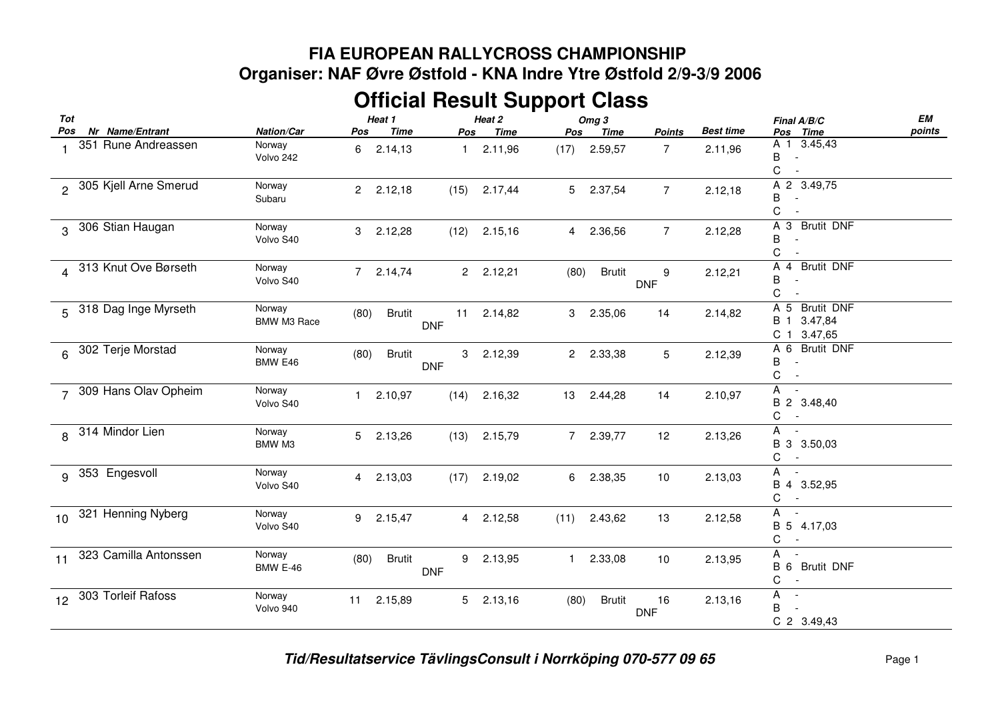## **FIA EUROPEAN RALLYCROSS CHAMPIONSHIP Organiser: NAF Øvre Østfold - KNA Indre Ytre Østfold 2/9-3/9 2006**

## **Official Result Support Class**

| Tot             |                        |                              | Heat 1                 |                  | Heat 2      |      | Omg <sub>3</sub> |                  |                  | Final A/B/C                                                        | EМ     |
|-----------------|------------------------|------------------------------|------------------------|------------------|-------------|------|------------------|------------------|------------------|--------------------------------------------------------------------|--------|
| Pos             | Nr Name/Entrant        | Nation/Car                   | Time<br>Pos            | Pos              | <b>Time</b> | Pos  | Time             | <b>Points</b>    | <b>Best time</b> | Pos Time                                                           | points |
|                 | 351 Rune Andreassen    | Norway<br>Volvo 242          | 2.14,13<br>6           | 1                | 2.11,96     | (17) | 2.59,57          | $\overline{7}$   | 2.11,96          | A 1 3.45,43<br>В<br>$\sim$ $-$<br>С<br>$\overline{\phantom{a}}$    |        |
|                 | 305 Kjell Arne Smerud  | Norway<br>Subaru             | $2^{\circ}$<br>2.12,18 | (15)             | 2.17,44     | 5    | 2.37,54          | $\overline{7}$   | 2.12,18          | A 2 3.49,75<br>В<br>$\overline{\phantom{a}}$<br>С                  |        |
| $\mathbf{R}$    | 306 Stian Haugan       | Norway<br>Volvo S40          | 3<br>2.12,28           | (12)             | 2.15,16     |      | 4 2.36,56        | $\overline{7}$   | 2.12,28          | A<br>3 Brutit DNF<br>B<br>С                                        |        |
|                 | 4 313 Knut Ove Børseth | Norway<br>Volvo S40          | 2.14,74<br>$7^{\circ}$ |                  | 2 2.12,21   | (80) | <b>Brutit</b>    | 9<br><b>DNF</b>  | 2.12,21          | A 4 Brutit DNF<br>B<br>C                                           |        |
|                 | 5 318 Dag Inge Myrseth | Norway<br><b>BMW M3 Race</b> | <b>Brutit</b><br>(80)  | 11<br><b>DNF</b> | 2.14,82     | 3    | 2.35,06          | 14               | 2.14,82          | A 5 Brutit DNF<br>B 1 3.47,84<br>C 1 3.47,65                       |        |
|                 | 6 302 Terje Morstad    | Norway<br>BMW E46            | (80)<br><b>Brutit</b>  | 3<br><b>DNF</b>  | 2.12,39     | 2    | 2.33,38          | 5                | 2.12,39          | A 6 Brutit DNF<br>В<br>$\overline{\phantom{a}}$<br>C<br>$\sim$ $-$ |        |
| $\overline{7}$  | 309 Hans Olav Opheim   | Norway<br>Volvo S40          | 2.10,97                | (14)             | 2.16,32     | 13   | 2.44,28          | 14               | 2.10,97          | A -<br>B 2 3.48,40<br>C<br>$\sim$ $-$                              |        |
|                 | 8 314 Mindor Lien      | Norway<br>BMW M3             | 5<br>2.13,26           | (13)             | 2.15,79     |      | 7 2.39,77        | 12               | 2.13,26          | $A -$<br>B 3 3.50,03<br>C<br>$\sim$ $-$                            |        |
|                 | 9 353 Engesvoll        | Norway<br>Volvo S40          | 2.13,03<br>4           | (17)             | 2.19,02     | 6    | 2.38,35          | 10               | 2.13,03          | A -<br>B 4 3.52,95<br>С<br>$\sim$ $-$                              |        |
| 10 <sup>1</sup> | 321 Henning Nyberg     | Norway<br>Volvo S40          | 9<br>2.15,47           |                  | 4 2.12,58   | (11) | 2.43,62          | 13               | 2.12,58          | A -<br>B 5 4.17,03<br>С<br>$\sim$ $-$                              |        |
| 11              | 323 Camilla Antonssen  | Norway<br><b>BMW E-46</b>    | (80)<br><b>Brutit</b>  | 9<br><b>DNF</b>  | 2.13,95     |      | 1 2.33,08        | 10               | 2.13,95          | A<br>B 6 Brutit DNF<br>C<br>$\sim$                                 |        |
| 12              | 303 Torleif Rafoss     | Norway<br>Volvo 940          | 11 2.15,89             |                  | $5$ 2.13,16 | (80) | <b>Brutit</b>    | 16<br><b>DNF</b> | 2.13,16          | A<br>$\sim$<br>B<br>$\sim$ $-$<br>C 2 3.49,43                      |        |

*Tid/Resultatservice TävlingsConsult i Norrköping 070-577 09 65* Page <sup>1</sup>